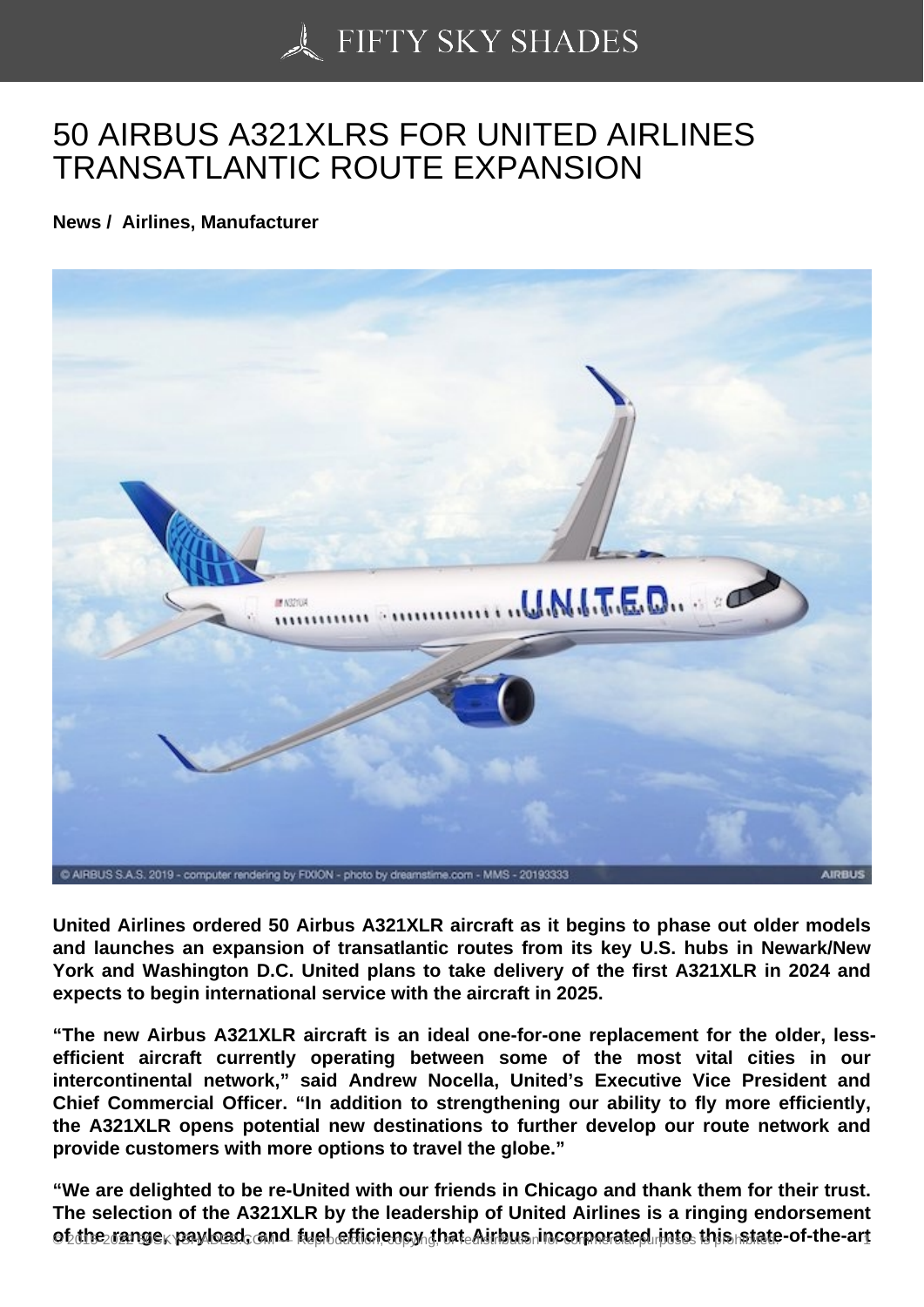## [50 AIRBUS A321XLRS](https://50skyshades.com) FOR UNITED AIRLINES TRANSATLANTIC ROUTE EXPANSION

News / Airlines, Manufacturer

United Airlines ordered 50 Airbus A321XLR aircraft as it begins to phase out older models and launches an expansion of transatlantic routes from its key U.S. hubs in Newark/New York and Washington D.C. United plans to take delivery of the first A321XLR in 2024 and expects to begin international service with the aircraft in 2025.

"The new Airbus A321XLR aircraft is an ideal one-for-one replacement for the older, lessefficient aircraft currently operating between some of the most vital cities in our intercontinental network," said Andrew Nocella, United's Executive Vice President and Chief Commercial Officer. "In addition to strengthening our ability to fly more efficiently, the A321XLR opens potential new destinations to further develop our route network and provide customers with more options to travel the globe."

"We are delighted to be re-United with our friends in Chicago and thank them for their trust. The selection of the A321XLR by the leadership of United Airlines is a ringing endorsement of the range, payload, and fuel efficiency that Airbus incorporated into this state of the-art  $\frac{1}{10}$